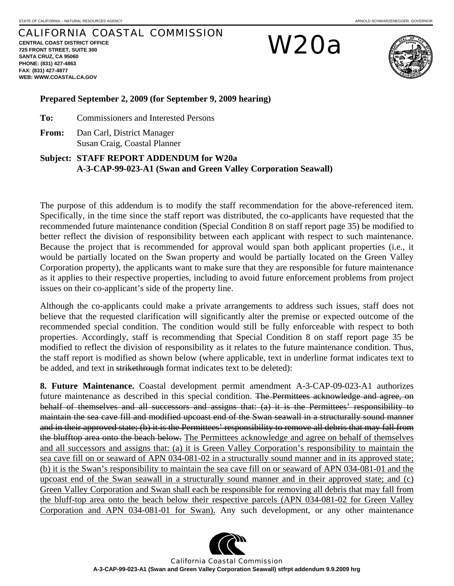## CALIFORNIA COASTAL COMMISSION

**CENTRAL COAST DISTRICT OFFICE 725 FRONT STREET, SUITE 300 SANTA CRUZ, CA 95060 PHONE: (831) 427-4863 FAX: (831) 427-4877 WEB: WWW.COASTAL.CA.GOV**

W20a



#### **Prepared September 2, 2009 (for September 9, 2009 hearing)**

**To:** Commissioners and Interested Persons

**From:** Dan Carl, District Manager Susan Craig, Coastal Planner

### **Subject: STAFF REPORT ADDENDUM for W20a A-3-CAP-99-023-A1 (Swan and Green Valley Corporation Seawall)**

The purpose of this addendum is to modify the staff recommendation for the above-referenced item. Specifically, in the time since the staff report was distributed, the co-applicants have requested that the recommended future maintenance condition (Special Condition 8 on staff report page 35) be modified to better reflect the division of responsibility between each applicant with respect to such maintenance. Because the project that is recommended for approval would span both applicant properties (i.e., it would be partially located on the Swan property and would be partially located on the Green Valley Corporation property), the applicants want to make sure that they are responsible for future maintenance as it applies to their respective properties, including to avoid future enforcement problems from project issues on their co-applicant's side of the property line.

Although the co-applicants could make a private arrangements to address such issues, staff does not believe that the requested clarification will significantly alter the premise or expected outcome of the recommended special condition. The condition would still be fully enforceable with respect to both properties. Accordingly, staff is recommending that Special Condition 8 on staff report page 35 be modified to reflect the division of responsibility as it relates to the future maintenance condition. Thus, the staff report is modified as shown below (where applicable, text in underline format indicates text to be added, and text in strikethrough format indicates text to be deleted):

**8. Future Maintenance.** Coastal development permit amendment A-3-CAP-09-023-A1 authorizes future maintenance as described in this special condition. The Permittees acknowledge and agree, on behalf of themselves and all successors and assigns that: (a) it is the Permittees' responsibility to maintain the sea cave fill and modified upcoast end of the Swan seawall in a structurally sound manner and in their approved state; (b) it is the Permittees' responsibility to remove all debris that may fall from the blufftop area onto the beach below. The Permittees acknowledge and agree on behalf of themselves and all successors and assigns that: (a) it is Green Valley Corporation's responsibility to maintain the sea cave fill on or seaward of APN 034-081-02 in a structurally sound manner and in its approved state; (b) it is the Swan's responsibility to maintain the sea cave fill on or seaward of APN 034-081-01 and the upcoast end of the Swan seawall in a structurally sound manner and in their approved state; and (c) Green Valley Corporation and Swan shall each be responsible for removing all debris that may fall from the bluff-top area onto the beach below their respective parcels (APN 034-081-02 for Green Valley Corporation and APN 034-081-01 for Swan). Any such development, or any other maintenance



California Coastal Commission **A-3-CAP-99-023-A1 (Swan and Green Valley Corporation Seawall) stfrpt addendum 9.9.2009 hrg**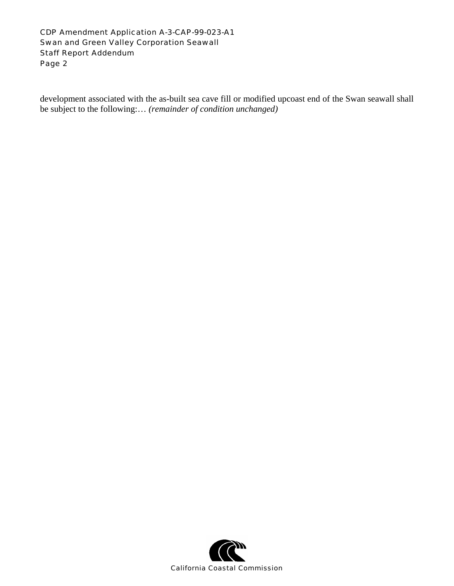#### CDP Amendment Application A-3-CAP-99-023-A1 Swan and Green Valley Corporation Seawall Staff Report Addendum Page 2

development associated with the as-built sea cave fill or modified upcoast end of the Swan seawall shall be subject to the following:… *(remainder of condition unchanged)*

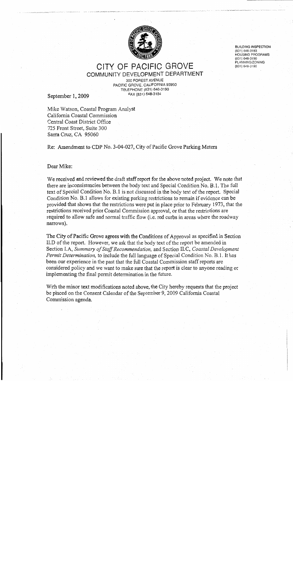

**BUILDING INSPECTION** (831) 648-3183 **HOUSING PROGRAMS** (831) 648-3190 PLANNING/ZONING (831) 648-3190

### CITY OF PACIFIC GROVE COMMUNITY DEVELOPMENT DEPARTMENT

300 FOREST AVENUE PACIFIC GROVE, CALIFORNIA 93950 TELEPHONE (831) 648-3190 FAX (831) 648-3184

September 1, 2009

Mike Watson, Coastal Program Analyst California Coastal Commission Central Coast District Office 725 Front Street, Suite 300 Santa Cruz, CA 95060

Re: Amendment to CDP No. 3-04-027, City of Pacific Grove Parking Meters

#### Dear Mike:

We received and reviewed the draft staff report for the above noted project. We note that there are inconsistencies between the body text and Special Condition No. B.1. The full text of Special Condition No. B.1 is not discussed in the body text of the report. Special Condition No. B.1 allows for existing parking restrictions to remain if evidence can be provided that shows that the restrictions were put in place prior to February 1973, that the restrictions received prior Coastal Commission approval, or that the restrictions are required to allow safe and normal traffic flow (i.e. red curbs in areas where the roadway narrows).

The City of Pacific Grove agrees with the Conditions of Approval as specified in Section II.D of the report. However, we ask that the body text of the report be amended in Section I.A. Summary of Staff Recommendation, and Section II.C. Coastal Development *Permit Determination*, to include the full language of Special Condition No. B.1. It has been our experience in the past that the full Coastal Commission staff reports are considered policy and we want to make sure that the report is clear to anyone reading or implementing the final permit determination in the future.

With the minor text modifications noted above, the City hereby requests that the project be placed on the Consent Calendar of the September 9, 2009 California Coastal Commission agenda.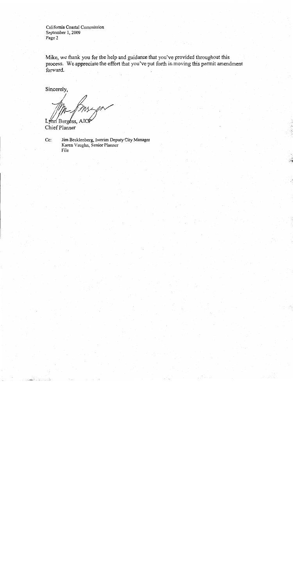California Coastal Commission September 1, 2009 Page 2

Mike, we thank you for the help and guidance that you've provided throughout this process. We appreciate the effort that you've put forth in moving this permit amendment forward.

Sincerely,

Lynn Burgess, AIC

Chief Planner

Cc: Jim Becklenberg, Interim Deputy City Manager Karen Vaughn, Senior Planner File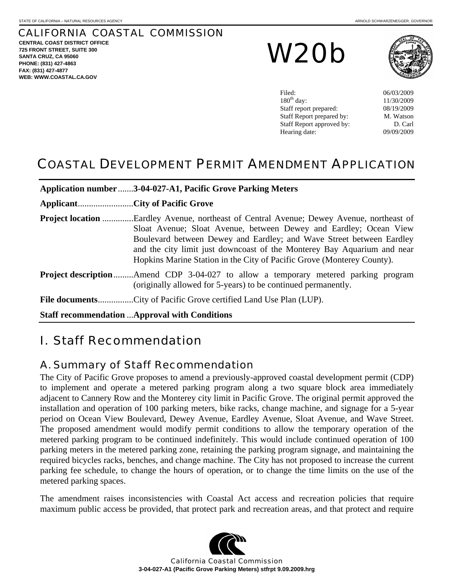## CALIFORNIA COASTAL COMMISSION

**CENTRAL COAST DISTRICT OFFICE 725 FRONT STREET, SUITE 300 SANTA CRUZ, CA 95060 PHONE: (831) 427-4863 FAX: (831) 427-4877 WEB: WWW.COASTAL.CA.GOV**

W20b



| Filed:                    | 06/03/2009 |
|---------------------------|------------|
| $180th$ day:              | 11/30/2009 |
| Staff report prepared:    | 08/19/2009 |
| Staff Report prepared by: | M. Watson  |
| Staff Report approved by: | D. Carl    |
| Hearing date:             | 09/09/2009 |
|                           |            |

## COASTAL DEVELOPMENT PERMIT AMENDMENT APPLICATION

| Application number 3-04-027-A1, Pacific Grove Parking Meters                                                                                                                                                                                                                                                                                                                                      |
|---------------------------------------------------------------------------------------------------------------------------------------------------------------------------------------------------------------------------------------------------------------------------------------------------------------------------------------------------------------------------------------------------|
|                                                                                                                                                                                                                                                                                                                                                                                                   |
| <b>Project location</b> Eardley Avenue, northeast of Central Avenue; Dewey Avenue, northeast of<br>Sloat Avenue; Sloat Avenue, between Dewey and Eardley; Ocean View<br>Boulevard between Dewey and Eardley; and Wave Street between Eardley<br>and the city limit just downcoast of the Monterey Bay Aquarium and near<br>Hopkins Marine Station in the City of Pacific Grove (Monterey County). |
| <b>Project description</b> Amend CDP 3-04-027 to allow a temporary metered parking program<br>(originally allowed for 5-years) to be continued permanently.                                                                                                                                                                                                                                       |
|                                                                                                                                                                                                                                                                                                                                                                                                   |
| <b>Staff recommendation  Approval with Conditions</b>                                                                                                                                                                                                                                                                                                                                             |

# I. Staff Recommendation

### A. Summary of Staff Recommendation

The City of Pacific Grove proposes to amend a previously-approved coastal development permit (CDP) to implement and operate a metered parking program along a two square block area immediately adjacent to Cannery Row and the Monterey city limit in Pacific Grove. The original permit approved the installation and operation of 100 parking meters, bike racks, change machine, and signage for a 5-year period on Ocean View Boulevard, Dewey Avenue, Eardley Avenue, Sloat Avenue, and Wave Street. The proposed amendment would modify permit conditions to allow the temporary operation of the metered parking program to be continued indefinitely. This would include continued operation of 100 parking meters in the metered parking zone, retaining the parking program signage, and maintaining the required bicycles racks, benches, and change machine. The City has not proposed to increase the current parking fee schedule, to change the hours of operation, or to change the time limits on the use of the metered parking spaces.

The amendment raises inconsistencies with Coastal Act access and recreation policies that require maximum public access be provided, that protect park and recreation areas, and that protect and require



California Coastal Commission **3-04-027-A1 (Pacific Grove Parking Meters) stfrpt 9.09.2009.hrg**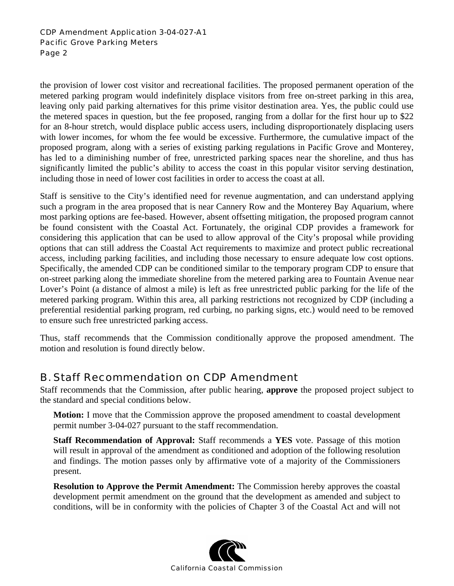#### CDP Amendment Application 3-04-027-A1 Pacific Grove Parking Meters Page 2

the provision of lower cost visitor and recreational facilities. The proposed permanent operation of the metered parking program would indefinitely displace visitors from free on-street parking in this area, leaving only paid parking alternatives for this prime visitor destination area. Yes, the public could use the metered spaces in question, but the fee proposed, ranging from a dollar for the first hour up to \$22 for an 8-hour stretch, would displace public access users, including disproportionately displacing users with lower incomes, for whom the fee would be excessive. Furthermore, the cumulative impact of the proposed program, along with a series of existing parking regulations in Pacific Grove and Monterey, has led to a diminishing number of free, unrestricted parking spaces near the shoreline, and thus has significantly limited the public's ability to access the coast in this popular visitor serving destination, including those in need of lower cost facilities in order to access the coast at all.

Staff is sensitive to the City's identified need for revenue augmentation, and can understand applying such a program in the area proposed that is near Cannery Row and the Monterey Bay Aquarium, where most parking options are fee-based. However, absent offsetting mitigation, the proposed program cannot be found consistent with the Coastal Act. Fortunately, the original CDP provides a framework for considering this application that can be used to allow approval of the City's proposal while providing options that can still address the Coastal Act requirements to maximize and protect public recreational access, including parking facilities, and including those necessary to ensure adequate low cost options. Specifically, the amended CDP can be conditioned similar to the temporary program CDP to ensure that on-street parking along the immediate shoreline from the metered parking area to Fountain Avenue near Lover's Point (a distance of almost a mile) is left as free unrestricted public parking for the life of the metered parking program. Within this area, all parking restrictions not recognized by CDP (including a preferential residential parking program, red curbing, no parking signs, etc.) would need to be removed to ensure such free unrestricted parking access.

Thus, staff recommends that the Commission conditionally approve the proposed amendment. The motion and resolution is found directly below.

## B. Staff Recommendation on CDP Amendment

Staff recommends that the Commission, after public hearing, **approve** the proposed project subject to the standard and special conditions below.

**Motion:** I move that the Commission approve the proposed amendment to coastal development permit number 3-04-027 pursuant to the staff recommendation.

**Staff Recommendation of Approval:** Staff recommends a **YES** vote. Passage of this motion will result in approval of the amendment as conditioned and adoption of the following resolution and findings. The motion passes only by affirmative vote of a majority of the Commissioners present.

**Resolution to Approve the Permit Amendment:** The Commission hereby approves the coastal development permit amendment on the ground that the development as amended and subject to conditions, will be in conformity with the policies of Chapter 3 of the Coastal Act and will not

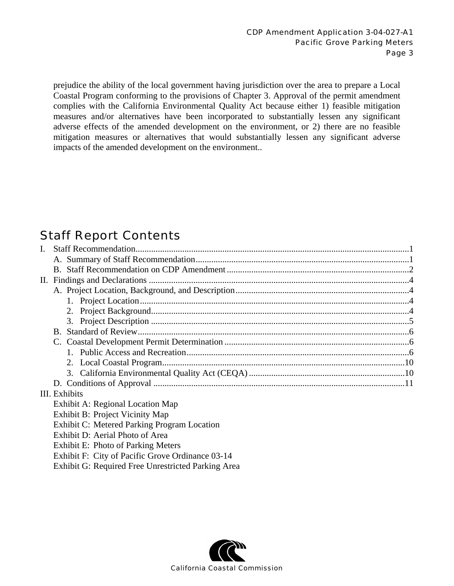prejudice the ability of the local government having jurisdiction over the area to prepare a Local Coastal Program conforming to the provisions of Chapter 3. Approval of the permit amendment complies with the California Environmental Quality Act because either 1) feasible mitigation measures and/or alternatives have been incorporated to substantially lessen any significant adverse effects of the amended development on the environment, or 2) there are no feasible mitigation measures or alternatives that would substantially lessen any significant adverse impacts of the amended development on the environment..

# Staff Report Contents

| $\mathbf{I}$ . |                                                                                              |  |  |  |  |
|----------------|----------------------------------------------------------------------------------------------|--|--|--|--|
|                |                                                                                              |  |  |  |  |
|                |                                                                                              |  |  |  |  |
|                |                                                                                              |  |  |  |  |
|                |                                                                                              |  |  |  |  |
|                |                                                                                              |  |  |  |  |
|                |                                                                                              |  |  |  |  |
|                |                                                                                              |  |  |  |  |
|                |                                                                                              |  |  |  |  |
|                |                                                                                              |  |  |  |  |
|                |                                                                                              |  |  |  |  |
|                |                                                                                              |  |  |  |  |
|                |                                                                                              |  |  |  |  |
|                |                                                                                              |  |  |  |  |
|                | III. Exhibits                                                                                |  |  |  |  |
|                | Exhibit A: Regional Location Map                                                             |  |  |  |  |
|                | Exhibit B: Project Vicinity Map                                                              |  |  |  |  |
|                | Exhibit C: Metered Parking Program Location                                                  |  |  |  |  |
|                | Exhibit D: Aerial Photo of Area                                                              |  |  |  |  |
|                | Exhibit E: Photo of Parking Meters                                                           |  |  |  |  |
|                | $Ev$ <sub>hi</sub> lf <sub>1</sub> $Et$ $Ct$ <sub>1</sub> of Deciting Crosse Ordinance 02.14 |  |  |  |  |

- Exhibit F: City of Pacific Grove Ordinance 03-14
- Exhibit G: Required Free Unrestricted Parking Area

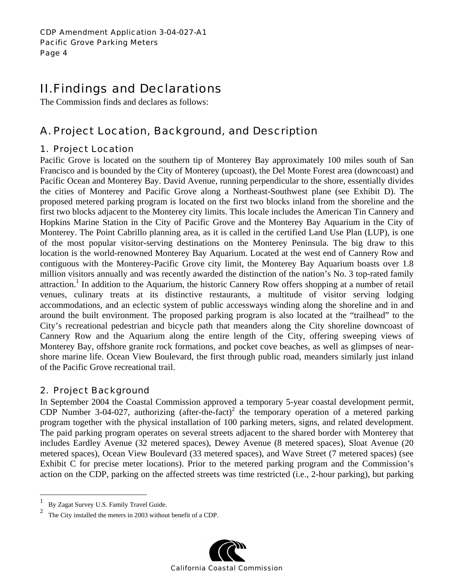# II. Findings and Declarations

The Commission finds and declares as follows:

## A. Project Location, Background, and Description

### 1. Project Location

Pacific Grove is located on the southern tip of Monterey Bay approximately 100 miles south of San Francisco and is bounded by the City of Monterey (upcoast), the Del Monte Forest area (downcoast) and Pacific Ocean and Monterey Bay. David Avenue, running perpendicular to the shore, essentially divides the cities of Monterey and Pacific Grove along a Northeast-Southwest plane (see Exhibit D). The proposed metered parking program is located on the first two blocks inland from the shoreline and the first two blocks adjacent to the Monterey city limits. This locale includes the American Tin Cannery and Hopkins Marine Station in the City of Pacific Grove and the Monterey Bay Aquarium in the City of Monterey. The Point Cabrillo planning area, as it is called in the certified Land Use Plan (LUP), is one of the most popular visitor-serving destinations on the Monterey Peninsula. The big draw to this location is the world-renowned Monterey Bay Aquarium. Located at the west end of Cannery Row and contiguous with the Monterey-Pacific Grove city limit, the Monterey Bay Aquarium boasts over 1.8 million visitors annually and was recently awarded the distinction of the nation's No. 3 top-rated family attraction.<sup>1</sup> In addition to the Aquarium, the historic Cannery Row offers shopping at a number of retail venues, culinary treats at its distinctive restaurants, a multitude of visitor serving lodging accommodations, and an eclectic system of public accessways winding along the shoreline and in and around the built environment. The proposed parking program is also located at the "trailhead" to the City's recreational pedestrian and bicycle path that meanders along the City shoreline downcoast of Cannery Row and the Aquarium along the entire length of the City, offering sweeping views of Monterey Bay, offshore granite rock formations, and pocket cove beaches, as well as glimpses of nearshore marine life. Ocean View Boulevard, the first through public road, meanders similarly just inland of the Pacific Grove recreational trail.

### 2. Project Background

In September 2004 the Coastal Commission approved a temporary 5-year coastal development permit, CDP Number 3-04-027, authorizing (after-the-fact)<sup>2</sup> the temporary operation of a metered parking program together with the physical installation of 100 parking meters, signs, and related development. The paid parking program operates on several streets adjacent to the shared border with Monterey that includes Eardley Avenue (32 metered spaces), Dewey Avenue (8 metered spaces), Sloat Avenue (20 metered spaces), Ocean View Boulevard (33 metered spaces), and Wave Street (7 metered spaces) (see Exhibit C for precise meter locations). Prior to the metered parking program and the Commission's action on the CDP, parking on the affected streets was time restricted (i.e., 2-hour parking), but parking

1

<sup>2</sup> The City installed the meters in 2003 without benefit of a CDP.



<sup>1</sup> By Zagat Survey U.S. Family Travel Guide.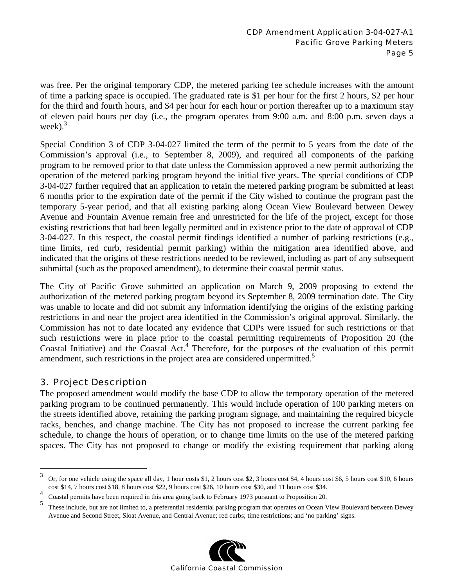was free. Per the original temporary CDP, the metered parking fee schedule increases with the amount of time a parking space is occupied. The graduated rate is \$1 per hour for the first 2 hours, \$2 per hour for the third and fourth hours, and \$4 per hour for each hour or portion thereafter up to a maximum stay of eleven paid hours per day (i.e., the program operates from 9:00 a.m. and 8:00 p.m. seven days a week). $3$ 

Special Condition 3 of CDP 3-04-027 limited the term of the permit to 5 years from the date of the Commission's approval (i.e., to September 8, 2009), and required all components of the parking program to be removed prior to that date unless the Commission approved a new permit authorizing the operation of the metered parking program beyond the initial five years. The special conditions of CDP 3-04-027 further required that an application to retain the metered parking program be submitted at least 6 months prior to the expiration date of the permit if the City wished to continue the program past the temporary 5-year period, and that all existing parking along Ocean View Boulevard between Dewey Avenue and Fountain Avenue remain free and unrestricted for the life of the project, except for those existing restrictions that had been legally permitted and in existence prior to the date of approval of CDP 3-04-027. In this respect, the coastal permit findings identified a number of parking restrictions (e.g., time limits, red curb, residential permit parking) within the mitigation area identified above, and indicated that the origins of these restrictions needed to be reviewed, including as part of any subsequent submittal (such as the proposed amendment), to determine their coastal permit status.

The City of Pacific Grove submitted an application on March 9, 2009 proposing to extend the authorization of the metered parking program beyond its September 8, 2009 termination date. The City was unable to locate and did not submit any information identifying the origins of the existing parking restrictions in and near the project area identified in the Commission's original approval. Similarly, the Commission has not to date located any evidence that CDPs were issued for such restrictions or that such restrictions were in place prior to the coastal permitting requirements of Proposition 20 (the Coastal Initiative) and the Coastal Act.<sup>4</sup> Therefore, for the purposes of the evaluation of this permit amendment, such restrictions in the project area are considered unpermitted.<sup>5</sup>

### 3. Project Description

 $\overline{a}$ 

The proposed amendment would modify the base CDP to allow the temporary operation of the metered parking program to be continued permanently. This would include operation of 100 parking meters on the streets identified above, retaining the parking program signage, and maintaining the required bicycle racks, benches, and change machine. The City has not proposed to increase the current parking fee schedule, to change the hours of operation, or to change time limits on the use of the metered parking spaces. The City has not proposed to change or modify the existing requirement that parking along

<sup>5</sup> These include, but are not limited to, a preferential residential parking program that operates on Ocean View Boulevard between Dewey Avenue and Second Street, Sloat Avenue, and Central Avenue; red curbs; time restrictions; and 'no parking' signs.



 $3\sigma$  Or, for one vehicle using the space all day, 1 hour costs \$1, 2 hours cost \$2, 3 hours cost \$4, 4 hours cost \$6, 5 hours cost \$10, 6 hours cost \$14, 7 hours cost \$18, 8 hours cost \$22, 9 hours cost \$26, 10 hours cost \$30, and 11 hours cost \$34.

<sup>4</sup> <sup>4</sup> Coastal permits have been required in this area going back to February 1973 pursuant to Proposition 20.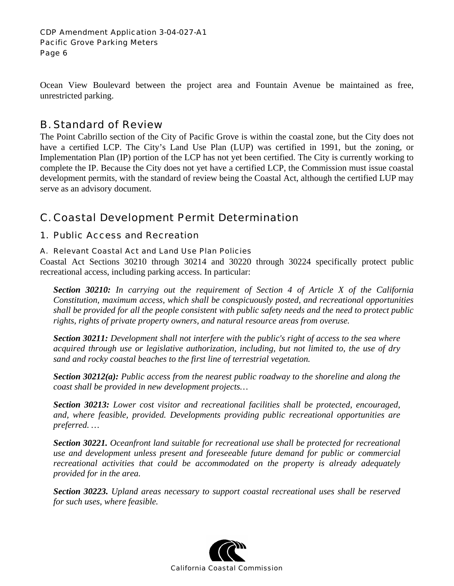Ocean View Boulevard between the project area and Fountain Avenue be maintained as free, unrestricted parking.

### B. Standard of Review

The Point Cabrillo section of the City of Pacific Grove is within the coastal zone, but the City does not have a certified LCP. The City's Land Use Plan (LUP) was certified in 1991, but the zoning, or Implementation Plan (IP) portion of the LCP has not yet been certified. The City is currently working to complete the IP. Because the City does not yet have a certified LCP, the Commission must issue coastal development permits, with the standard of review being the Coastal Act, although the certified LUP may serve as an advisory document.

## C. Coastal Development Permit Determination

### 1. Public Access and Recreation

### A. Relevant Coastal Act and Land Use Plan Policies

Coastal Act Sections 30210 through 30214 and 30220 through 30224 specifically protect public recreational access, including parking access. In particular:

*Section 30210: In carrying out the requirement of Section 4 of Article X of the California Constitution, maximum access, which shall be conspicuously posted, and recreational opportunities shall be provided for all the people consistent with public safety needs and the need to protect public rights, rights of private property owners, and natural resource areas from overuse.* 

*Section 30211: Development shall not interfere with the public's right of access to the sea where acquired through use or legislative authorization, including, but not limited to, the use of dry sand and rocky coastal beaches to the first line of terrestrial vegetation.* 

*Section 30212(a): Public access from the nearest public roadway to the shoreline and along the coast shall be provided in new development projects…* 

*Section 30213: Lower cost visitor and recreational facilities shall be protected, encouraged, and, where feasible, provided. Developments providing public recreational opportunities are preferred. …* 

*Section 30221. Oceanfront land suitable for recreational use shall be protected for recreational use and development unless present and foreseeable future demand for public or commercial recreational activities that could be accommodated on the property is already adequately provided for in the area.* 

*Section 30223. Upland areas necessary to support coastal recreational uses shall be reserved for such uses, where feasible.* 

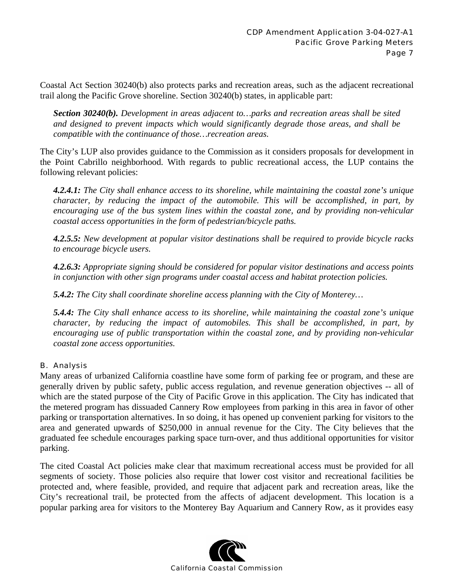Coastal Act Section 30240(b) also protects parks and recreation areas, such as the adjacent recreational trail along the Pacific Grove shoreline. Section 30240(b) states, in applicable part:

*Section 30240(b). Development in areas adjacent to…parks and recreation areas shall be sited and designed to prevent impacts which would significantly degrade those areas, and shall be compatible with the continuance of those…recreation areas.* 

The City's LUP also provides guidance to the Commission as it considers proposals for development in the Point Cabrillo neighborhood. With regards to public recreational access, the LUP contains the following relevant policies:

*4.2.4.1: The City shall enhance access to its shoreline, while maintaining the coastal zone's unique character, by reducing the impact of the automobile. This will be accomplished, in part, by encouraging use of the bus system lines within the coastal zone, and by providing non-vehicular coastal access opportunities in the form of pedestrian/bicycle paths.* 

*4.2.5.5: New development at popular visitor destinations shall be required to provide bicycle racks to encourage bicycle users.* 

*4.2.6.3: Appropriate signing should be considered for popular visitor destinations and access points in conjunction with other sign programs under coastal access and habitat protection policies.* 

*5.4.2: The City shall coordinate shoreline access planning with the City of Monterey…* 

*5.4.4: The City shall enhance access to its shoreline, while maintaining the coastal zone's unique character, by reducing the impact of automobiles. This shall be accomplished, in part, by encouraging use of public transportation within the coastal zone, and by providing non-vehicular coastal zone access opportunities.* 

### B. Analysis

Many areas of urbanized California coastline have some form of parking fee or program, and these are generally driven by public safety, public access regulation, and revenue generation objectives -- all of which are the stated purpose of the City of Pacific Grove in this application. The City has indicated that the metered program has dissuaded Cannery Row employees from parking in this area in favor of other parking or transportation alternatives. In so doing, it has opened up convenient parking for visitors to the area and generated upwards of \$250,000 in annual revenue for the City. The City believes that the graduated fee schedule encourages parking space turn-over, and thus additional opportunities for visitor parking.

The cited Coastal Act policies make clear that maximum recreational access must be provided for all segments of society. Those policies also require that lower cost visitor and recreational facilities be protected and, where feasible, provided, and require that adjacent park and recreation areas, like the City's recreational trail, be protected from the affects of adjacent development. This location is a popular parking area for visitors to the Monterey Bay Aquarium and Cannery Row, as it provides easy

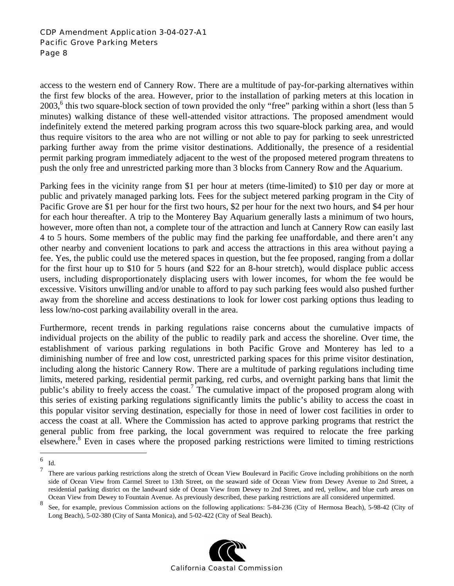#### CDP Amendment Application 3-04-027-A1 Pacific Grove Parking Meters Page 8

access to the western end of Cannery Row. There are a multitude of pay-for-parking alternatives within the first few blocks of the area. However, prior to the installation of parking meters at this location in 2003,<sup>6</sup> this two square-block section of town provided the only "free" parking within a short (less than 5 minutes) walking distance of these well-attended visitor attractions. The proposed amendment would indefinitely extend the metered parking program across this two square-block parking area, and would thus require visitors to the area who are not willing or not able to pay for parking to seek unrestricted parking further away from the prime visitor destinations. Additionally, the presence of a residential permit parking program immediately adjacent to the west of the proposed metered program threatens to push the only free and unrestricted parking more than 3 blocks from Cannery Row and the Aquarium.

Parking fees in the vicinity range from \$1 per hour at meters (time-limited) to \$10 per day or more at public and privately managed parking lots. Fees for the subject metered parking program in the City of Pacific Grove are \$1 per hour for the first two hours, \$2 per hour for the next two hours, and \$4 per hour for each hour thereafter. A trip to the Monterey Bay Aquarium generally lasts a minimum of two hours, however, more often than not, a complete tour of the attraction and lunch at Cannery Row can easily last 4 to 5 hours. Some members of the public may find the parking fee unaffordable, and there aren't any other nearby and convenient locations to park and access the attractions in this area without paying a fee. Yes, the public could use the metered spaces in question, but the fee proposed, ranging from a dollar for the first hour up to \$10 for 5 hours (and \$22 for an 8-hour stretch), would displace public access users, including disproportionately displacing users with lower incomes, for whom the fee would be excessive. Visitors unwilling and/or unable to afford to pay such parking fees would also pushed further away from the shoreline and access destinations to look for lower cost parking options thus leading to less low/no-cost parking availability overall in the area.

Furthermore, recent trends in parking regulations raise concerns about the cumulative impacts of individual projects on the ability of the public to readily park and access the shoreline. Over time, the establishment of various parking regulations in both Pacific Grove and Monterey has led to a diminishing number of free and low cost, unrestricted parking spaces for this prime visitor destination, including along the historic Cannery Row. There are a multitude of parking regulations including time limits, metered parking, residential permit parking, red curbs, and overnight parking bans that limit the public's ability to freely access the coast.<sup>7</sup> The cumulative impact of the proposed program along with this series of existing parking regulations significantly limits the public's ability to access the coast in this popular visitor serving destination, especially for those in need of lower cost facilities in order to access the coast at all. Where the Commission has acted to approve parking programs that restrict the general public from free parking, the local government was required to relocate the free parking elsewhere.<sup>8</sup> Even in cases where the proposed parking restrictions were limited to timing restrictions

<sup>8</sup> See, for example, previous Commission actions on the following applications: 5-84-236 (City of Hermosa Beach), 5-98-42 (City of Long Beach), 5-02-380 (City of Santa Monica), and 5-02-422 (City of Seal Beach).



 $\frac{1}{6}$  $\frac{1}{7}$  Id.

<sup>7</sup> There are various parking restrictions along the stretch of Ocean View Boulevard in Pacific Grove including prohibitions on the north side of Ocean View from Carmel Street to 13th Street, on the seaward side of Ocean View from Dewey Avenue to 2nd Street, a residential parking district on the landward side of Ocean View from Dewey to 2nd Street, and red, yellow, and blue curb areas on Ocean View from Dewey to Fountain Avenue. As previously described, these parking restrictions are all considered unpermitted.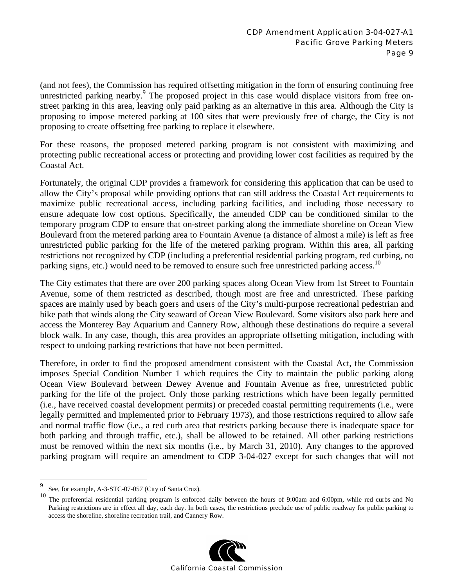(and not fees), the Commission has required offsetting mitigation in the form of ensuring continuing free unrestricted parking nearby.<sup>9</sup> The proposed project in this case would displace visitors from free onstreet parking in this area, leaving only paid parking as an alternative in this area. Although the City is proposing to impose metered parking at 100 sites that were previously free of charge, the City is not proposing to create offsetting free parking to replace it elsewhere.

For these reasons, the proposed metered parking program is not consistent with maximizing and protecting public recreational access or protecting and providing lower cost facilities as required by the Coastal Act.

Fortunately, the original CDP provides a framework for considering this application that can be used to allow the City's proposal while providing options that can still address the Coastal Act requirements to maximize public recreational access, including parking facilities, and including those necessary to ensure adequate low cost options. Specifically, the amended CDP can be conditioned similar to the temporary program CDP to ensure that on-street parking along the immediate shoreline on Ocean View Boulevard from the metered parking area to Fountain Avenue (a distance of almost a mile) is left as free unrestricted public parking for the life of the metered parking program. Within this area, all parking restrictions not recognized by CDP (including a preferential residential parking program, red curbing, no parking signs, etc.) would need to be removed to ensure such free unrestricted parking access.<sup>10</sup>

The City estimates that there are over 200 parking spaces along Ocean View from 1st Street to Fountain Avenue, some of them restricted as described, though most are free and unrestricted. These parking spaces are mainly used by beach goers and users of the City's multi-purpose recreational pedestrian and bike path that winds along the City seaward of Ocean View Boulevard. Some visitors also park here and access the Monterey Bay Aquarium and Cannery Row, although these destinations do require a several block walk. In any case, though, this area provides an appropriate offsetting mitigation, including with respect to undoing parking restrictions that have not been permitted.

Therefore, in order to find the proposed amendment consistent with the Coastal Act, the Commission imposes Special Condition Number 1 which requires the City to maintain the public parking along Ocean View Boulevard between Dewey Avenue and Fountain Avenue as free, unrestricted public parking for the life of the project. Only those parking restrictions which have been legally permitted (i.e., have received coastal development permits) or preceded coastal permitting requirements (i.e., were legally permitted and implemented prior to February 1973), and those restrictions required to allow safe and normal traffic flow (i.e., a red curb area that restricts parking because there is inadequate space for both parking and through traffic, etc.), shall be allowed to be retained. All other parking restrictions must be removed within the next six months (i.e., by March 31, 2010). Any changes to the approved parking program will require an amendment to CDP 3-04-027 except for such changes that will not

<sup>10</sup> The preferential residential parking program is enforced daily between the hours of 9:00am and 6:00pm, while red curbs and No Parking restrictions are in effect all day, each day. In both cases, the restrictions preclude use of public roadway for public parking to access the shoreline, shoreline recreation trail, and Cannery Row.



<sup>–&</sup>lt;br>9 See, for example, A-3-STC-07-057 (City of Santa Cruz).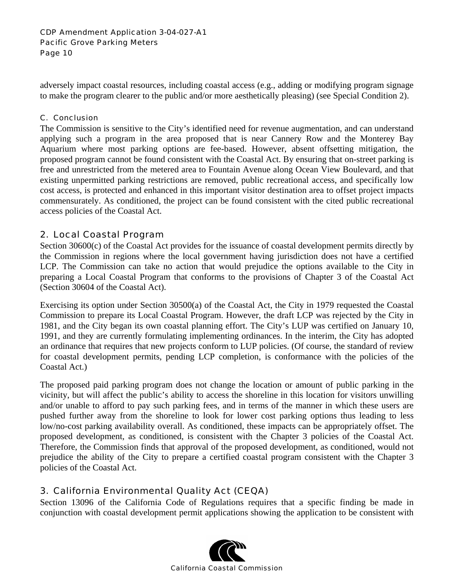adversely impact coastal resources, including coastal access (e.g., adding or modifying program signage to make the program clearer to the public and/or more aesthetically pleasing) (see Special Condition 2).

#### C. Conclusion

The Commission is sensitive to the City's identified need for revenue augmentation, and can understand applying such a program in the area proposed that is near Cannery Row and the Monterey Bay Aquarium where most parking options are fee-based. However, absent offsetting mitigation, the proposed program cannot be found consistent with the Coastal Act. By ensuring that on-street parking is free and unrestricted from the metered area to Fountain Avenue along Ocean View Boulevard, and that existing unpermitted parking restrictions are removed, public recreational access, and specifically low cost access, is protected and enhanced in this important visitor destination area to offset project impacts commensurately. As conditioned, the project can be found consistent with the cited public recreational access policies of the Coastal Act.

### 2. Local Coastal Program

Section 30600(c) of the Coastal Act provides for the issuance of coastal development permits directly by the Commission in regions where the local government having jurisdiction does not have a certified LCP. The Commission can take no action that would prejudice the options available to the City in preparing a Local Coastal Program that conforms to the provisions of Chapter 3 of the Coastal Act (Section 30604 of the Coastal Act).

Exercising its option under Section 30500(a) of the Coastal Act, the City in 1979 requested the Coastal Commission to prepare its Local Coastal Program. However, the draft LCP was rejected by the City in 1981, and the City began its own coastal planning effort. The City's LUP was certified on January 10, 1991, and they are currently formulating implementing ordinances. In the interim, the City has adopted an ordinance that requires that new projects conform to LUP policies. (Of course, the standard of review for coastal development permits, pending LCP completion, is conformance with the policies of the Coastal Act.)

The proposed paid parking program does not change the location or amount of public parking in the vicinity, but will affect the public's ability to access the shoreline in this location for visitors unwilling and/or unable to afford to pay such parking fees, and in terms of the manner in which these users are pushed further away from the shoreline to look for lower cost parking options thus leading to less low/no-cost parking availability overall. As conditioned, these impacts can be appropriately offset. The proposed development, as conditioned, is consistent with the Chapter 3 policies of the Coastal Act. Therefore, the Commission finds that approval of the proposed development, as conditioned, would not prejudice the ability of the City to prepare a certified coastal program consistent with the Chapter 3 policies of the Coastal Act.

### 3. California Environmental Quality Act (CEQA)

Section 13096 of the California Code of Regulations requires that a specific finding be made in conjunction with coastal development permit applications showing the application to be consistent with

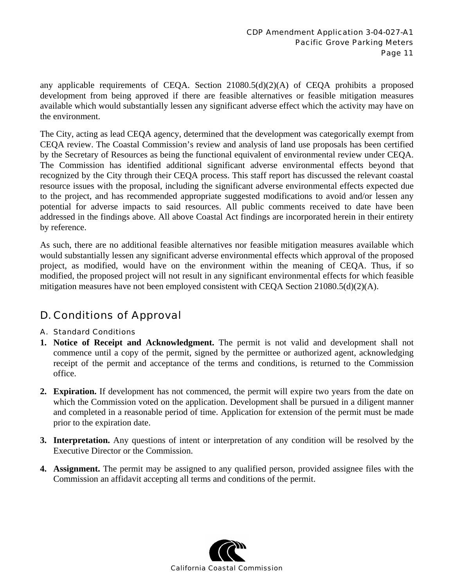any applicable requirements of CEQA. Section 21080.5(d)(2)(A) of CEQA prohibits a proposed development from being approved if there are feasible alternatives or feasible mitigation measures available which would substantially lessen any significant adverse effect which the activity may have on the environment.

The City, acting as lead CEQA agency, determined that the development was categorically exempt from CEQA review. The Coastal Commission's review and analysis of land use proposals has been certified by the Secretary of Resources as being the functional equivalent of environmental review under CEQA. The Commission has identified additional significant adverse environmental effects beyond that recognized by the City through their CEQA process. This staff report has discussed the relevant coastal resource issues with the proposal, including the significant adverse environmental effects expected due to the project, and has recommended appropriate suggested modifications to avoid and/or lessen any potential for adverse impacts to said resources. All public comments received to date have been addressed in the findings above. All above Coastal Act findings are incorporated herein in their entirety by reference.

As such, there are no additional feasible alternatives nor feasible mitigation measures available which would substantially lessen any significant adverse environmental effects which approval of the proposed project, as modified, would have on the environment within the meaning of CEQA. Thus, if so modified, the proposed project will not result in any significant environmental effects for which feasible mitigation measures have not been employed consistent with CEQA Section 21080.5(d)(2)(A).

## D. Conditions of Approval

### A. Standard Conditions

- **1. Notice of Receipt and Acknowledgment.** The permit is not valid and development shall not commence until a copy of the permit, signed by the permittee or authorized agent, acknowledging receipt of the permit and acceptance of the terms and conditions, is returned to the Commission office.
- **2. Expiration.** If development has not commenced, the permit will expire two years from the date on which the Commission voted on the application. Development shall be pursued in a diligent manner and completed in a reasonable period of time. Application for extension of the permit must be made prior to the expiration date.
- **3. Interpretation.** Any questions of intent or interpretation of any condition will be resolved by the Executive Director or the Commission.
- **4. Assignment.** The permit may be assigned to any qualified person, provided assignee files with the Commission an affidavit accepting all terms and conditions of the permit.

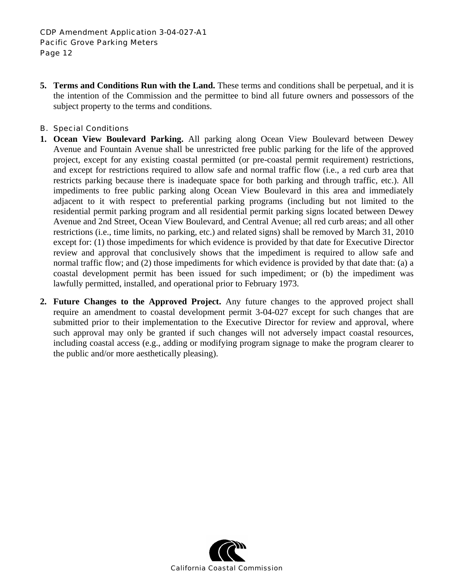**5. Terms and Conditions Run with the Land.** These terms and conditions shall be perpetual, and it is the intention of the Commission and the permittee to bind all future owners and possessors of the subject property to the terms and conditions.

#### B. Special Conditions

- **1. Ocean View Boulevard Parking.** All parking along Ocean View Boulevard between Dewey Avenue and Fountain Avenue shall be unrestricted free public parking for the life of the approved project, except for any existing coastal permitted (or pre-coastal permit requirement) restrictions, and except for restrictions required to allow safe and normal traffic flow (i.e., a red curb area that restricts parking because there is inadequate space for both parking and through traffic, etc.). All impediments to free public parking along Ocean View Boulevard in this area and immediately adjacent to it with respect to preferential parking programs (including but not limited to the residential permit parking program and all residential permit parking signs located between Dewey Avenue and 2nd Street, Ocean View Boulevard, and Central Avenue; all red curb areas; and all other restrictions (i.e., time limits, no parking, etc.) and related signs) shall be removed by March 31, 2010 except for: (1) those impediments for which evidence is provided by that date for Executive Director review and approval that conclusively shows that the impediment is required to allow safe and normal traffic flow; and (2) those impediments for which evidence is provided by that date that: (a) a coastal development permit has been issued for such impediment; or (b) the impediment was lawfully permitted, installed, and operational prior to February 1973.
- **2. Future Changes to the Approved Project.** Any future changes to the approved project shall require an amendment to coastal development permit 3-04-027 except for such changes that are submitted prior to their implementation to the Executive Director for review and approval, where such approval may only be granted if such changes will not adversely impact coastal resources, including coastal access (e.g., adding or modifying program signage to make the program clearer to the public and/or more aesthetically pleasing).

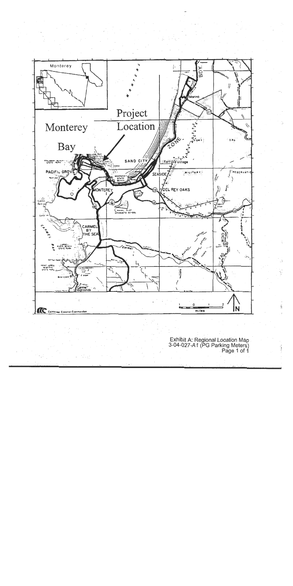

Exhibit A: Regional Location Map<br>3-04-027-A1 (PG Parking Meters)<br>Page 1 of 1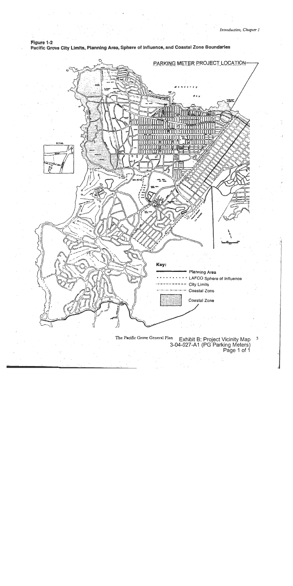Figure 1-2 Pacific Grove City Limits, Planning Area, Sphere of Influence, and Coastal Zone Boundaries



The Pacific Grove General Plan an Exhibit B: Project Vicinity Map<br>3-04-027-A1 (PG Parking Meters)<br>Page 1 of 1  $\mathfrak{Z}$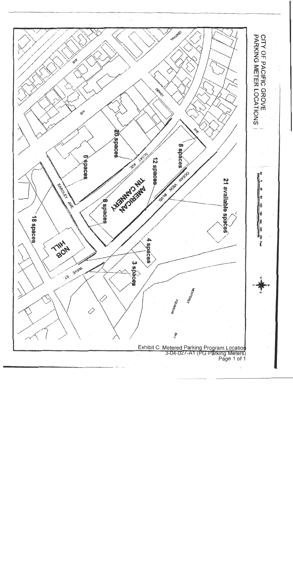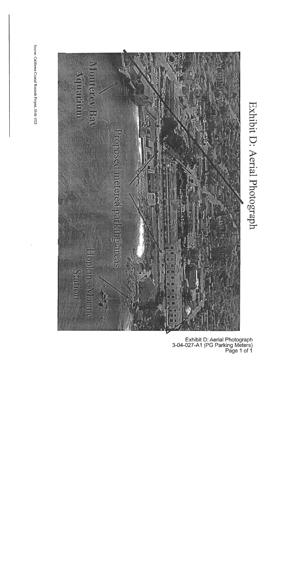Source: Califorma Coastal Records Project, Slide 1023



Exhibit D: Aerial Photograph

Exhibit D: Aerial Photograph<br>3-04-027-A1 (PG Parking Meters)<br>Page 1 of 1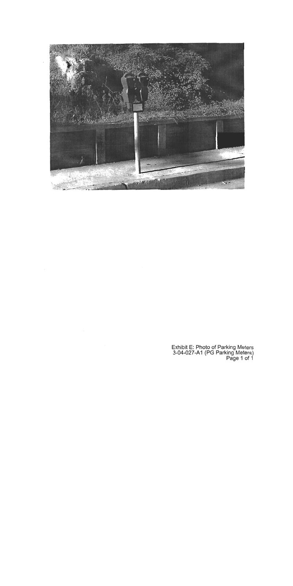

 $\mathcal{L}_{\mathcal{A}}$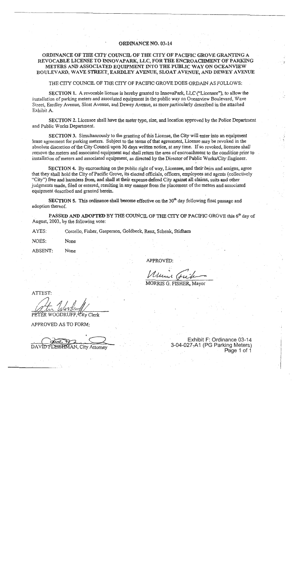#### **ORDINANCE NO. 03-14**

#### ORDINANCE OF THE CITY COUNCIL OF THE CITY OF PACIFIC GROVE GRANTING A REVOCABLE LICENSE TO INNOVAPARK, LLC, FOR THE ENCROACHMENT OF PARKING METERS AND ASSOCIATED EQUIPMENT INTO THE PUBLIC WAY ON OCEANVIEW BOULEVARD, WAVE STREET, EARDLEY AVENUE, SLOAT AVENUE, AND DEWEY AVENUE

#### THE CITY COUNCIL OF THE CITY OF PACIFIC GROVE DOES ORDAIN AS FOLLOWS:

SECTION 1. A revocable license is hereby granted to InnovaPark, LLC ("Licensee"), to allow the installation of parking meters and associated equipment in the public way on Oceanview Boulevard, Waye Street, Eardley Avenue, Sloat Avenue, and Dewey Avenue, as more particularly described in the attached Exhibit A.

SECTION 2. Licensee shall have the meter type, size, and location approved by the Police Department and Public Works Department.

SECTION 3. Simultaneously to the granting of this License, the City will enter into an equipment lease agreement for parking meters. Subject to the terms of that agreement, License may be revoked in the absolute discretion of the City Council upon 30 days written notice, at any time. If so revoked, licensee shall remove the meters and associated equipment and shall return the area of encroachment to the condition prior to installation of meters and associated equipment, as directed by the Director of Public Works/City Engineer.

SECTION 4. By encroaching on the public right of way, Licensee, and their heirs and assigns, agree that they shall hold the City of Pacific Grove, its elected officials, officers, employees and agents (collectively "City") free and harmless from, and shall at their expense defend City against all claims, suits and other judgments made, filed or entered, resulting in any manner from the placement of the meters and associated equipment described and granted herein.

SECTION 5. This ordinance shall become effective on the  $30<sup>th</sup>$  day following final passage and adoption thereof.

PASSED AND ADOPTED BY THE COUNCIL OF THE CITY OF PACIFIC GROVE this 6<sup>th</sup> day of August, 2003, by the following vote:

Costello, Fisher, Gasperson, Goldbeck, Renz, Schenk, Stidham AYES:

NOES: None

ABSENT: None

**APPROVED:** 

MORRIS G. FISHER, Mayor

ATTEST:

APPROVED AS TO FORM:

LEISHMAN, City Attorney

Exhibit F: Ordinance 03-14 3-04-027-A1 (PG Parking Meters) Page 1 of 1